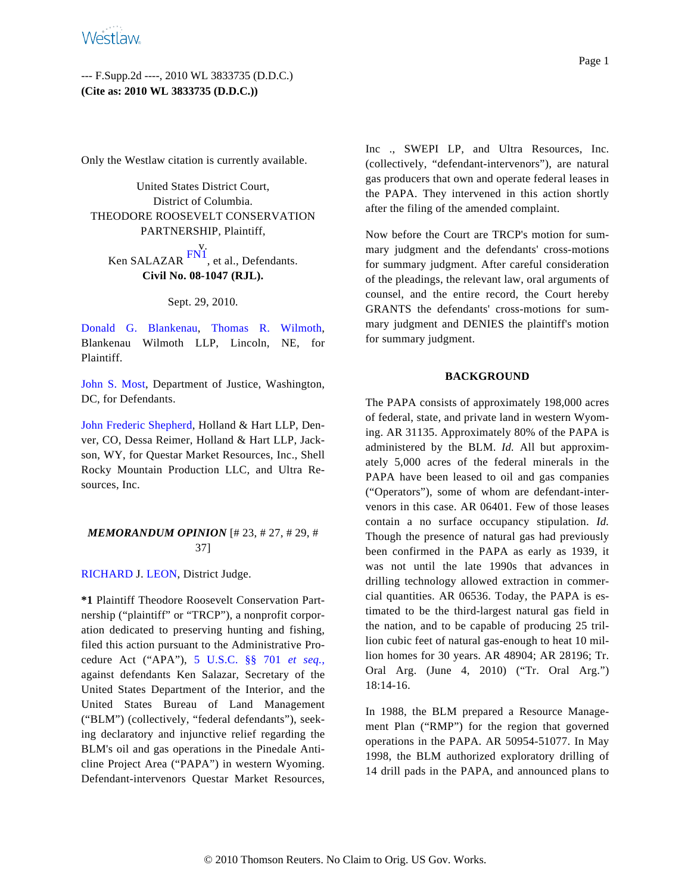# --- F.Supp.2d ----, 2010 WL 3833735 (D.D.C.) **(Cite as: 2010 WL 3833735 (D.D.C.))**

Only the Westlaw citation is currently available.

United States District Court, District of Columbia. THEODORE ROOSEVELT CONSERVATION PARTNERSHIP, Plaintiff,

<span id="page-0-0"></span>v. Ken SALAZAR [FN1](#page-9-0), et al., Defendants. **Civil No. 08-1047 (RJL).**

#### Sept. 29, 2010.

[Donald G. Blanke](http://www.westlaw.com/Find/Default.wl?rs=dfa1.0&vr=2.0&DB=PROFILER-WLD&DocName=0147813201&FindType=h)nau, [Thomas R. Wilm](http://www.westlaw.com/Find/Default.wl?rs=dfa1.0&vr=2.0&DB=PROFILER-WLD&DocName=0297914501&FindType=h)oth, Blankenau Wilmoth LLP, Lincoln, NE, for Plaintiff.

[John S. Mos](http://www.westlaw.com/Find/Default.wl?rs=dfa1.0&vr=2.0&DB=PROFILER-WLD&DocName=0357824801&FindType=h)t, Department of Justice, Washington, DC, for Defendants.

[John Frederic Shepherd](http://www.westlaw.com/Find/Default.wl?rs=dfa1.0&vr=2.0&DB=PROFILER-WLD&DocName=0208571401&FindType=h), Holland & Hart LLP, Denver, CO, Dessa Reimer, Holland & Hart LLP, Jackson, WY, for Questar Market Resources, Inc., Shell Rocky Mountain Production LLC, and Ultra Resources, Inc.

## *MEMORANDUM OPINION* [# 23, # 27, # 29, # 37]

## [RICHARD](http://www.westlaw.com/Find/Default.wl?rs=dfa1.0&vr=2.0&DB=PROFILER-WLD&DocName=0397965501&FindType=h) J. [LEON](http://www.westlaw.com/Find/Default.wl?rs=dfa1.0&vr=2.0&DB=PROFILER-WLD&DocName=0117893901&FindType=h), District Judge.

**\*1** Plaintiff Theodore Roosevelt Conservation Partnership ("plaintiff" or "TRCP"), a nonprofit corporation dedicated to preserving hunting and fishing, filed this action pursuant to the Administrative Procedure Act ("APA"), [5 U.S.C. §§ 70](http://www.westlaw.com/Find/Default.wl?rs=dfa1.0&vr=2.0&DB=1000546&DocName=5USCAS701&FindType=L)1 *[et seq](http://www.westlaw.com/Find/Default.wl?rs=dfa1.0&vr=2.0&DB=1000546&DocName=5USCAS701&FindType=L).,* against defendants Ken Salazar, Secretary of the United States Department of the Interior, and the United States Bureau of Land Management ("BLM") (collectively, "federal defendants"), seeking declaratory and injunctive relief regarding the BLM's oil and gas operations in the Pinedale Anticline Project Area ("PAPA") in western Wyoming. Defendant-intervenors Questar Market Resources, Inc ., SWEPI LP, and Ultra Resources, Inc. (collectively, "defendant-intervenors"), are natural gas producers that own and operate federal leases in the PAPA. They intervened in this action shortly after the filing of the amended complaint.

Now before the Court are TRCP's motion for summary judgment and the defendants' cross-motions for summary judgment. After careful consideration of the pleadings, the relevant law, oral arguments of counsel, and the entire record, the Court hereby GRANTS the defendants' cross-motions for summary judgment and DENIES the plaintiff's motion for summary judgment.

### **BACKGROUND**

The PAPA consists of approximately 198,000 acres of federal, state, and private land in western Wyoming. AR 31135. Approximately 80% of the PAPA is administered by the BLM. *Id.* All but approximately 5,000 acres of the federal minerals in the PAPA have been leased to oil and gas companies ("Operators"), some of whom are defendant-intervenors in this case. AR 06401. Few of those leases contain a no surface occupancy stipulation. *Id.* Though the presence of natural gas had previously been confirmed in the PAPA as early as 1939, it was not until the late 1990s that advances in drilling technology allowed extraction in commercial quantities. AR 06536. Today, the PAPA is estimated to be the third-largest natural gas field in the nation, and to be capable of producing 25 trillion cubic feet of natural gas-enough to heat 10 million homes for 30 years. AR 48904; AR 28196; Tr. Oral Arg. (June 4, 2010) ("Tr. Oral Arg.") 18:14-16.

In 1988, the BLM prepared a Resource Management Plan ("RMP") for the region that governed operations in the PAPA. AR 50954-51077. In May 1998, the BLM authorized exploratory drilling of 14 drill pads in the PAPA, and announced plans to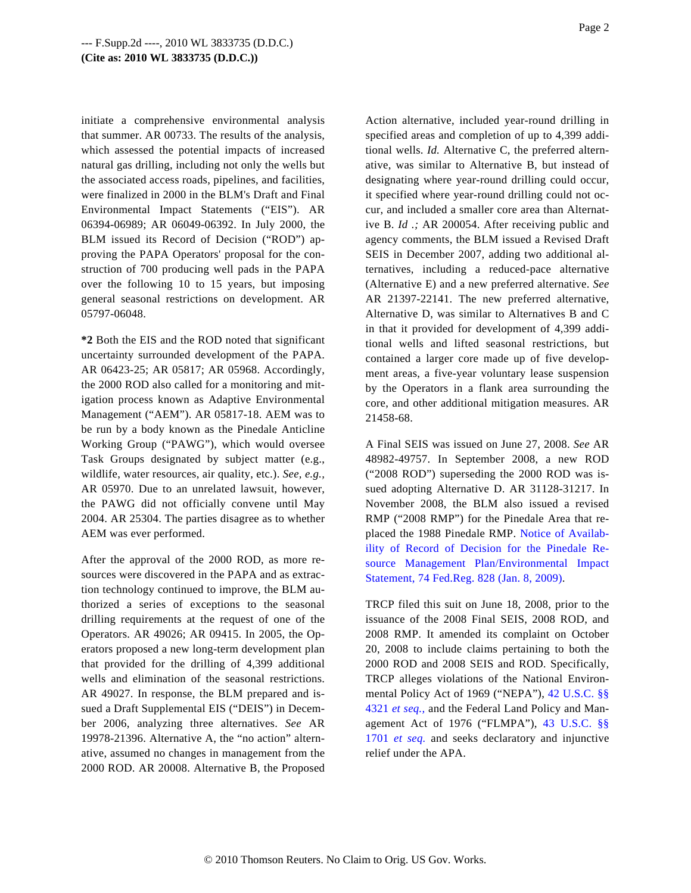initiate a comprehensive environmental analysis that summer. AR 00733. The results of the analysis, which assessed the potential impacts of increased natural gas drilling, including not only the wells but the associated access roads, pipelines, and facilities, were finalized in 2000 in the BLM's Draft and Final Environmental Impact Statements ("EIS"). AR 06394-06989; AR 06049-06392. In July 2000, the BLM issued its Record of Decision ("ROD") approving the PAPA Operators' proposal for the construction of 700 producing well pads in the PAPA over the following 10 to 15 years, but imposing general seasonal restrictions on development. AR 05797-06048.

**\*2** Both the EIS and the ROD noted that significant uncertainty surrounded development of the PAPA. AR 06423-25; AR 05817; AR 05968. Accordingly, the 2000 ROD also called for a monitoring and mitigation process known as Adaptive Environmental Management ("AEM"). AR 05817-18. AEM was to be run by a body known as the Pinedale Anticline Working Group ("PAWG"), which would oversee Task Groups designated by subject matter (e.g., wildlife, water resources, air quality, etc.). *See, e.g.,* AR 05970. Due to an unrelated lawsuit, however, the PAWG did not officially convene until May 2004. AR 25304. The parties disagree as to whether AEM was ever performed.

After the approval of the 2000 ROD, as more resources were discovered in the PAPA and as extraction technology continued to improve, the BLM authorized a series of exceptions to the seasonal drilling requirements at the request of one of the Operators. AR 49026; AR 09415. In 2005, the Operators proposed a new long-term development plan that provided for the drilling of 4,399 additional wells and elimination of the seasonal restrictions. AR 49027. In response, the BLM prepared and issued a Draft Supplemental EIS ("DEIS") in December 2006, analyzing three alternatives. *See* AR 19978-21396. Alternative A, the "no action" alternative, assumed no changes in management from the 2000 ROD. AR 20008. Alternative B, the Proposed Action alternative, included year-round drilling in specified areas and completion of up to 4,399 additional wells. *Id.* Alternative C, the preferred alternative, was similar to Alternative B, but instead of designating where year-round drilling could occur, it specified where year-round drilling could not occur, and included a smaller core area than Alternative B. *Id .;* AR 200054. After receiving public and agency comments, the BLM issued a Revised Draft SEIS in December 2007, adding two additional alternatives, including a reduced-pace alternative (Alternative E) and a new preferred alternative. *See* AR 21397-22141. The new preferred alternative, Alternative D, was similar to Alternatives B and C in that it provided for development of 4,399 additional wells and lifted seasonal restrictions, but contained a larger core made up of five development areas, a five-year voluntary lease suspension by the Operators in a flank area surrounding the core, and other additional mitigation measures. AR 21458-68.

A Final SEIS was issued on June 27, 2008. *See* AR 48982-49757. In September 2008, a new ROD ("2008 ROD") superseding the 2000 ROD was issued adopting Alternative D. AR 31128-31217. In November 2008, the BLM also issued a revised RMP ("2008 RMP") for the Pinedale Area that replaced the 1988 Pinedale RMP. [Notice of Availab](http://www.westlaw.com/Find/Default.wl?rs=dfa1.0&vr=2.0&DB=1037&FindType=Y&ReferencePositionType=S&SerialNum=0342190088&ReferencePosition=828)[ility of Record of Decision for the Pinedale](http://www.westlaw.com/Find/Default.wl?rs=dfa1.0&vr=2.0&DB=1037&FindType=Y&ReferencePositionType=S&SerialNum=0342190088&ReferencePosition=828) Re[source Management Plan/Environmental Imp](http://www.westlaw.com/Find/Default.wl?rs=dfa1.0&vr=2.0&DB=1037&FindType=Y&ReferencePositionType=S&SerialNum=0342190088&ReferencePosition=828)act [Statement, 74 Fed.Reg. 828 \(Jan. 8, 2009\)](http://www.westlaw.com/Find/Default.wl?rs=dfa1.0&vr=2.0&DB=1037&FindType=Y&ReferencePositionType=S&SerialNum=0342190088&ReferencePosition=828).

TRCP filed this suit on June 18, 2008, prior to the issuance of the 2008 Final SEIS, 2008 ROD, and 2008 RMP. It amended its complaint on October 20, 2008 to include claims pertaining to both the 2000 ROD and 2008 SEIS and ROD. Specifically, TRCP alleges violations of the National Environmental Policy Act of 1969 ("NEPA"), [42 U.S.C. §§](http://www.westlaw.com/Find/Default.wl?rs=dfa1.0&vr=2.0&DB=1000546&DocName=42USCAS4321&FindType=L) [4321](http://www.westlaw.com/Find/Default.wl?rs=dfa1.0&vr=2.0&DB=1000546&DocName=42USCAS4321&FindType=L) *[et seq.](http://www.westlaw.com/Find/Default.wl?rs=dfa1.0&vr=2.0&DB=1000546&DocName=42USCAS4321&FindType=L),* and the Federal Land Policy and Management Act of 1976 ("FLMPA"), [43 U.S.C. §§](http://www.westlaw.com/Find/Default.wl?rs=dfa1.0&vr=2.0&DB=1000546&DocName=43USCAS1701&FindType=L) [1701](http://www.westlaw.com/Find/Default.wl?rs=dfa1.0&vr=2.0&DB=1000546&DocName=43USCAS1701&FindType=L) *[et seq](http://www.westlaw.com/Find/Default.wl?rs=dfa1.0&vr=2.0&DB=1000546&DocName=43USCAS1701&FindType=L).* and seeks declaratory and injunctive relief under the APA.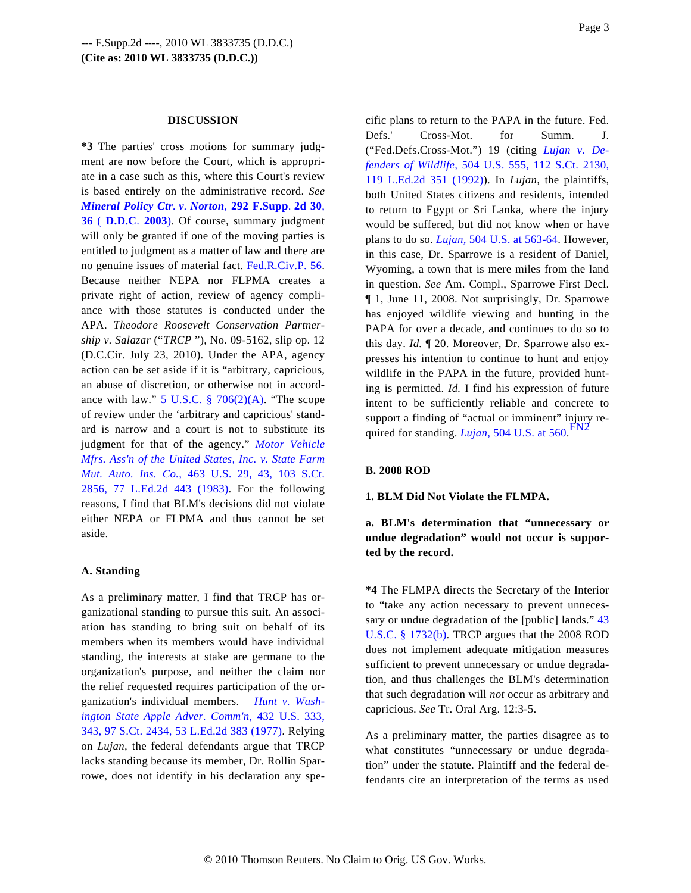#### **DISCUSSION**

**\*3** The parties' cross motions for summary judgment are now before the Court, which is appropriate in a case such as this, where this Court's review is based entirely on the administrative record. *See [Mineral Policy Ctr](http://www.westlaw.com/Find/Default.wl?rs=dfa1.0&vr=2.0&DB=4637&FindType=Y&ReferencePositionType=S&SerialNum=2003850063&ReferencePosition=36). [v](http://www.westlaw.com/Find/Default.wl?rs=dfa1.0&vr=2.0&DB=4637&FindType=Y&ReferencePositionType=S&SerialNum=2003850063&ReferencePosition=36). [Norton](http://www.westlaw.com/Find/Default.wl?rs=dfa1.0&vr=2.0&DB=4637&FindType=Y&ReferencePositionType=S&SerialNum=2003850063&ReferencePosition=36)[,](http://www.westlaw.com/Find/Default.wl?rs=dfa1.0&vr=2.0&DB=4637&FindType=Y&ReferencePositionType=S&SerialNum=2003850063&ReferencePosition=36)* **[292 F.Supp](http://www.westlaw.com/Find/Default.wl?rs=dfa1.0&vr=2.0&DB=4637&FindType=Y&ReferencePositionType=S&SerialNum=2003850063&ReferencePosition=36)**. **[2d 30](http://www.westlaw.com/Find/Default.wl?rs=dfa1.0&vr=2.0&DB=4637&FindType=Y&ReferencePositionType=S&SerialNum=2003850063&ReferencePosition=36)**, **[36](http://www.westlaw.com/Find/Default.wl?rs=dfa1.0&vr=2.0&DB=4637&FindType=Y&ReferencePositionType=S&SerialNum=2003850063&ReferencePosition=36)** ( **[D.D.C](http://www.westlaw.com/Find/Default.wl?rs=dfa1.0&vr=2.0&DB=4637&FindType=Y&ReferencePositionType=S&SerialNum=2003850063&ReferencePosition=36)**. **[2003](http://www.westlaw.com/Find/Default.wl?rs=dfa1.0&vr=2.0&DB=4637&FindType=Y&ReferencePositionType=S&SerialNum=2003850063&ReferencePosition=36)**[\). Of](http://www.westlaw.com/Find/Default.wl?rs=dfa1.0&vr=2.0&DB=4637&FindType=Y&ReferencePositionType=S&SerialNum=2003850063&ReferencePosition=36) course, summary judgment will only be granted if one of the moving parties is entitled to judgment as a matter of law and there are no genuine issues of material fact. [Fed.R.Civ.P. 56](http://www.westlaw.com/Find/Default.wl?rs=dfa1.0&vr=2.0&DB=1004365&DocName=USFRCPR56&FindType=L). Because neither NEPA nor FLPMA creates a private right of action, review of agency compliance with those statutes is conducted under the APA. *Theodore Roosevelt Conservation Partnership v. Salazar* ("*TRCP* "), No. 09-5162, slip op. 12 (D.C.Cir. July 23, 2010). Under the APA, agency action can be set aside if it is "arbitrary, capricious, an abuse of discretion, or otherwise not in accordance with law."  $5 \text{ U.S.C. }$   $\frac{8}{9}$   $706(2)(\text{A})$ . "The scope of review under the 'arbitrary and capricious' standard is narrow and a court is not to substitute its judgment for that of the agency." *[Motor Vehicle](http://www.westlaw.com/Find/Default.wl?rs=dfa1.0&vr=2.0&DB=708&FindType=Y&SerialNum=1983129661) [Mfrs. Ass'n of the United States, Inc. v. State Farm](http://www.westlaw.com/Find/Default.wl?rs=dfa1.0&vr=2.0&DB=708&FindType=Y&SerialNum=1983129661) [Mut. Auto. Ins. Co](http://www.westlaw.com/Find/Default.wl?rs=dfa1.0&vr=2.0&DB=708&FindType=Y&SerialNum=1983129661).,* [463 U.S. 29, 43, 103 S.](http://www.westlaw.com/Find/Default.wl?rs=dfa1.0&vr=2.0&DB=708&FindType=Y&SerialNum=1983129661)Ct. [2856, 77 L.Ed.2d 443 \(198](http://www.westlaw.com/Find/Default.wl?rs=dfa1.0&vr=2.0&DB=708&FindType=Y&SerialNum=1983129661)3). For the following reasons, I find that BLM's decisions did not violate either NEPA or FLPMA and thus cannot be set aside.

### <span id="page-2-0"></span>**A. Standing**

As a preliminary matter, I find that TRCP has organizational standing to pursue this suit. An association has standing to bring suit on behalf of its members when its members would have individual standing, the interests at stake are germane to the organization's purpose, and neither the claim nor the relief requested requires participation of the organization's individual members. *[Hunt v. Wash](http://www.westlaw.com/Find/Default.wl?rs=dfa1.0&vr=2.0&DB=708&FindType=Y&SerialNum=1977118827)[ington State Apple Adver. Comm'](http://www.westlaw.com/Find/Default.wl?rs=dfa1.0&vr=2.0&DB=708&FindType=Y&SerialNum=1977118827)n,* [432 U.S. 333](http://www.westlaw.com/Find/Default.wl?rs=dfa1.0&vr=2.0&DB=708&FindType=Y&SerialNum=1977118827), [343, 97 S.Ct. 2434, 53 L.Ed.2d 383 \(1977\)](http://www.westlaw.com/Find/Default.wl?rs=dfa1.0&vr=2.0&DB=708&FindType=Y&SerialNum=1977118827). Relying on *Lujan,* the federal defendants argue that TRCP lacks standing because its member, Dr. Rollin Sparrowe, does not identify in his declaration any spe-

cific plans to return to the PAPA in the future. Fed. Defs.' Cross-Mot. for Summ. J. ("Fed.Defs.Cross-Mot.") 19 (citing *[Lujan v. De](http://www.westlaw.com/Find/Default.wl?rs=dfa1.0&vr=2.0&DB=708&FindType=Y&SerialNum=1992106162)[fenders of Wildlife](http://www.westlaw.com/Find/Default.wl?rs=dfa1.0&vr=2.0&DB=708&FindType=Y&SerialNum=1992106162),* [504 U.S. 555, 112 S.Ct. 2130](http://www.westlaw.com/Find/Default.wl?rs=dfa1.0&vr=2.0&DB=708&FindType=Y&SerialNum=1992106162), [119 L.Ed.2d 351 \(1992](http://www.westlaw.com/Find/Default.wl?rs=dfa1.0&vr=2.0&DB=708&FindType=Y&SerialNum=1992106162))). In *Lujan,* the plaintiffs, both United States citizens and residents, intended to return to Egypt or Sri Lanka, where the injury would be suffered, but did not know when or have plans to do so. *[Lujan,](http://www.westlaw.com/Find/Default.wl?rs=dfa1.0&vr=2.0&DB=780&FindType=Y&ReferencePositionType=S&SerialNum=1992106162&ReferencePosition=563)* [504 U.S. at 563-64](http://www.westlaw.com/Find/Default.wl?rs=dfa1.0&vr=2.0&DB=780&FindType=Y&ReferencePositionType=S&SerialNum=1992106162&ReferencePosition=563). However, in this case, Dr. Sparrowe is a resident of Daniel, Wyoming, a town that is mere miles from the land in question. *See* Am. Compl., Sparrowe First Decl. ¶ 1, June 11, 2008. Not surprisingly, Dr. Sparrowe has enjoyed wildlife viewing and hunting in the PAPA for over a decade, and continues to do so to this day. *Id.* ¶ 20. Moreover, Dr. Sparrowe also expresses his intention to continue to hunt and enjoy wildlife in the PAPA in the future, provided hunting is permitted. *Id.* I find his expression of future intent to be sufficiently reliable and concrete to support a finding of "actual or imminent" injury required for standing. *[Lujan](http://www.westlaw.com/Find/Default.wl?rs=dfa1.0&vr=2.0&DB=780&FindType=Y&ReferencePositionType=S&SerialNum=1992106162&ReferencePosition=560),* [504 U.S. at 560](http://www.westlaw.com/Find/Default.wl?rs=dfa1.0&vr=2.0&DB=780&FindType=Y&ReferencePositionType=S&SerialNum=1992106162&ReferencePosition=560). [FN2](#page-10-0)

### **B. 2008 ROD**

#### **1. BLM Did Not Violate the FLMPA.**

**a. BLM's determination that "unnecessary or undue degradation" would not occur is supported by the record.**

**\*4** The FLMPA directs the Secretary of the Interior to "take any action necessary to prevent unneces-sary or undue degradation of the [public] lands." [43](http://www.westlaw.com/Find/Default.wl?rs=dfa1.0&vr=2.0&DB=1000546&DocName=43USCAS1732&FindType=L&ReferencePositionType=T&ReferencePosition=SP_a83b000018c76) [U.S.C. § 1732\(b](http://www.westlaw.com/Find/Default.wl?rs=dfa1.0&vr=2.0&DB=1000546&DocName=43USCAS1732&FindType=L&ReferencePositionType=T&ReferencePosition=SP_a83b000018c76)). TRCP argues that the 2008 ROD does not implement adequate mitigation measures sufficient to prevent unnecessary or undue degradation, and thus challenges the BLM's determination that such degradation will *not* occur as arbitrary and capricious. *See* Tr. Oral Arg. 12:3-5.

As a preliminary matter, the parties disagree as to what constitutes "unnecessary or undue degradation" under the statute. Plaintiff and the federal defendants cite an interpretation of the terms as used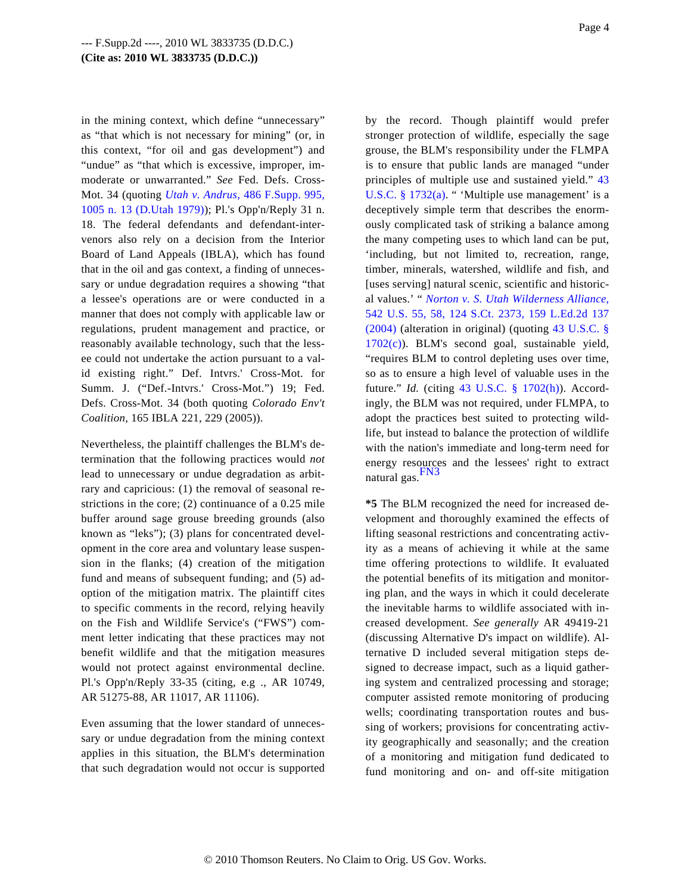in the mining context, which define "unnecessary" as "that which is not necessary for mining" (or, in this context, "for oil and gas development") and "undue" as "that which is excessive, improper, immoderate or unwarranted." *See* Fed. Defs. Cross-Mot. 34 (quoting *[Utah v. Andrus](http://www.westlaw.com/Find/Default.wl?rs=dfa1.0&vr=2.0&DB=345&FindType=Y&ReferencePositionType=S&SerialNum=1980344734&ReferencePosition=1005),* [486 F.Supp. 995,](http://www.westlaw.com/Find/Default.wl?rs=dfa1.0&vr=2.0&DB=345&FindType=Y&ReferencePositionType=S&SerialNum=1980344734&ReferencePosition=1005) [1005 n. 13 \(D.Utah 1979](http://www.westlaw.com/Find/Default.wl?rs=dfa1.0&vr=2.0&DB=345&FindType=Y&ReferencePositionType=S&SerialNum=1980344734&ReferencePosition=1005))); Pl.'s Opp'n/Reply 31 n. 18. The federal defendants and defendant-intervenors also rely on a decision from the Interior Board of Land Appeals (IBLA), which has found that in the oil and gas context, a finding of unnecessary or undue degradation requires a showing "that a lessee's operations are or were conducted in a manner that does not comply with applicable law or regulations, prudent management and practice, or reasonably available technology, such that the lessee could not undertake the action pursuant to a valid existing right." Def. Intvrs.' Cross-Mot. for Summ. J. ("Def.-Intvrs.' Cross-Mot.") 19; Fed. Defs. Cross-Mot. 34 (both quoting *Colorado Env't Coalition,* 165 IBLA 221, 229 (2005)).

<span id="page-3-0"></span>Nevertheless, the plaintiff challenges the BLM's determination that the following practices would *not* lead to unnecessary or undue degradation as arbitrary and capricious: (1) the removal of seasonal restrictions in the core; (2) continuance of a 0.25 mile buffer around sage grouse breeding grounds (also known as "leks"); (3) plans for concentrated development in the core area and voluntary lease suspension in the flanks; (4) creation of the mitigation fund and means of subsequent funding; and (5) adoption of the mitigation matrix. The plaintiff cites to specific comments in the record, relying heavily on the Fish and Wildlife Service's ("FWS") comment letter indicating that these practices may not benefit wildlife and that the mitigation measures would not protect against environmental decline. Pl.'s Opp'n/Reply 33-35 (citing, e.g ., AR 10749, AR 51275-88, AR 11017, AR 11106).

Even assuming that the lower standard of unnecessary or undue degradation from the mining context applies in this situation, the BLM's determination that such degradation would not occur is supported by the record. Though plaintiff would prefer stronger protection of wildlife, especially the sage grouse, the BLM's responsibility under the FLMPA is to ensure that public lands are managed "under principles of multiple use and sustained yield." [43](http://www.westlaw.com/Find/Default.wl?rs=dfa1.0&vr=2.0&DB=1000546&DocName=43USCAS1732&FindType=L&ReferencePositionType=T&ReferencePosition=SP_8b3b0000958a4) U.S.C.  $\S 1732(a)$ . " 'Multiple use management' is a deceptively simple term that describes the enormously complicated task of striking a balance among the many competing uses to which land can be put, 'including, but not limited to, recreation, range, timber, minerals, watershed, wildlife and fish, and [uses serving] natural scenic, scientific and historical values.' " *[Norton v. S. Utah Wilderness Alliance](http://www.westlaw.com/Find/Default.wl?rs=dfa1.0&vr=2.0&DB=708&FindType=Y&SerialNum=2004581417),* [542 U.S. 55, 58, 124 S.Ct. 2373, 159 L.Ed.2d 13](http://www.westlaw.com/Find/Default.wl?rs=dfa1.0&vr=2.0&DB=708&FindType=Y&SerialNum=2004581417)7 [\(2004\)](http://www.westlaw.com/Find/Default.wl?rs=dfa1.0&vr=2.0&DB=708&FindType=Y&SerialNum=2004581417) (alteration in original) (quoting [43 U.S.C. §](http://www.westlaw.com/Find/Default.wl?rs=dfa1.0&vr=2.0&DB=1000546&DocName=43USCAS1702&FindType=L&ReferencePositionType=T&ReferencePosition=SP_4b24000003ba5) [1702\(c\)](http://www.westlaw.com/Find/Default.wl?rs=dfa1.0&vr=2.0&DB=1000546&DocName=43USCAS1702&FindType=L&ReferencePositionType=T&ReferencePosition=SP_4b24000003ba5)). BLM's second goal, sustainable yield, "requires BLM to control depleting uses over time, so as to ensure a high level of valuable uses in the future." *Id.* (citing [43 U.S.C. § 1702\(h](http://www.westlaw.com/Find/Default.wl?rs=dfa1.0&vr=2.0&DB=1000546&DocName=43USCAS1702&FindType=L&ReferencePositionType=T&ReferencePosition=SP_f383000077b35))). Accordingly, the BLM was not required, under FLMPA, to adopt the practices best suited to protecting wildlife, but instead to balance the protection of wildlife with the nation's immediate and long-term need for energy resources and the lessees' right to extract natural [gas.](#page-10-1) $F<sub>N3</sub>$ 

**\*5** The BLM recognized the need for increased development and thoroughly examined the effects of lifting seasonal restrictions and concentrating activity as a means of achieving it while at the same time offering protections to wildlife. It evaluated the potential benefits of its mitigation and monitoring plan, and the ways in which it could decelerate the inevitable harms to wildlife associated with increased development. *See generally* AR 49419-21 (discussing Alternative D's impact on wildlife). Alternative D included several mitigation steps designed to decrease impact, such as a liquid gathering system and centralized processing and storage; computer assisted remote monitoring of producing wells; coordinating transportation routes and bussing of workers; provisions for concentrating activity geographically and seasonally; and the creation of a monitoring and mitigation fund dedicated to fund monitoring and on- and off-site mitigation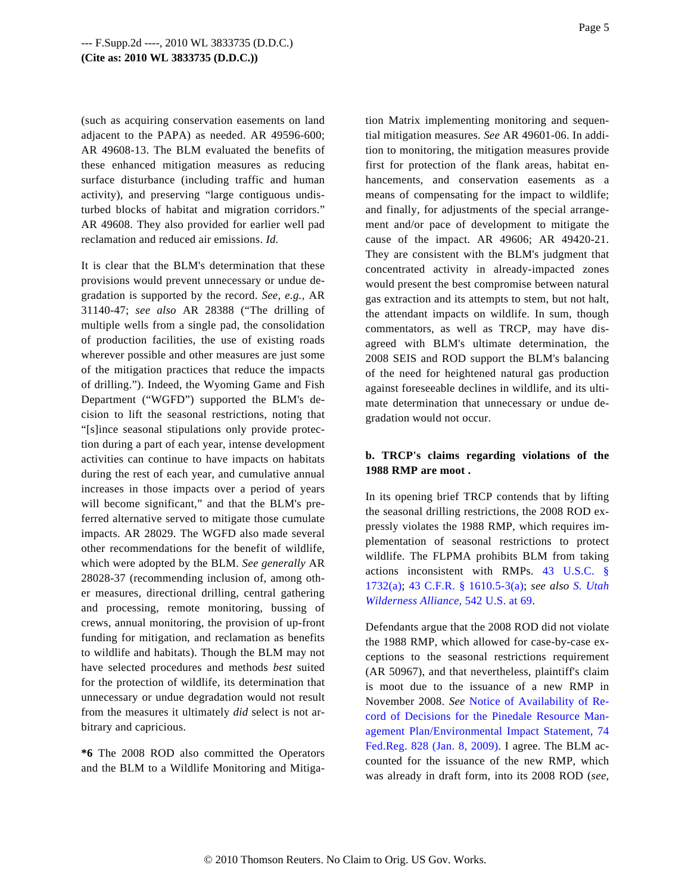(such as acquiring conservation easements on land adjacent to the PAPA) as needed. AR 49596-600; AR 49608-13. The BLM evaluated the benefits of these enhanced mitigation measures as reducing surface disturbance (including traffic and human activity), and preserving "large contiguous undisturbed blocks of habitat and migration corridors." AR 49608. They also provided for earlier well pad reclamation and reduced air emissions. *Id.*

It is clear that the BLM's determination that these provisions would prevent unnecessary or undue degradation is supported by the record. *See, e.g.,* AR 31140-47; *see also* AR 28388 ("The drilling of multiple wells from a single pad, the consolidation of production facilities, the use of existing roads wherever possible and other measures are just some of the mitigation practices that reduce the impacts of drilling."). Indeed, the Wyoming Game and Fish Department ("WGFD") supported the BLM's decision to lift the seasonal restrictions, noting that "[s]ince seasonal stipulations only provide protection during a part of each year, intense development activities can continue to have impacts on habitats during the rest of each year, and cumulative annual increases in those impacts over a period of years will become significant," and that the BLM's preferred alternative served to mitigate those cumulate impacts. AR 28029. The WGFD also made several other recommendations for the benefit of wildlife, which were adopted by the BLM. *See generally* AR 28028-37 (recommending inclusion of, among other measures, directional drilling, central gathering and processing, remote monitoring, bussing of crews, annual monitoring, the provision of up-front funding for mitigation, and reclamation as benefits to wildlife and habitats). Though the BLM may not have selected procedures and methods *best* suited for the protection of wildlife, its determination that unnecessary or undue degradation would not result from the measures it ultimately *did* select is not arbitrary and capricious.

**\*6** The 2008 ROD also committed the Operators and the BLM to a Wildlife Monitoring and MitigaPage 5

tion Matrix implementing monitoring and sequential mitigation measures. *See* AR 49601-06. In addition to monitoring, the mitigation measures provide first for protection of the flank areas, habitat enhancements, and conservation easements as a means of compensating for the impact to wildlife; and finally, for adjustments of the special arrangement and/or pace of development to mitigate the cause of the impact. AR 49606; AR 49420-21. They are consistent with the BLM's judgment that concentrated activity in already-impacted zones would present the best compromise between natural gas extraction and its attempts to stem, but not halt, the attendant impacts on wildlife. In sum, though commentators, as well as TRCP, may have disagreed with BLM's ultimate determination, the 2008 SEIS and ROD support the BLM's balancing of the need for heightened natural gas production against foreseeable declines in wildlife, and its ultimate determination that unnecessary or undue degradation would not occur.

# **b. TRCP's claims regarding violations of the 1988 RMP are moot .**

In its opening brief TRCP contends that by lifting the seasonal drilling restrictions, the 2008 ROD expressly violates the 1988 RMP, which requires implementation of seasonal restrictions to protect wildlife. The FLPMA prohibits BLM from taking actions inconsistent with RMPs. [43 U.S.C.](http://www.westlaw.com/Find/Default.wl?rs=dfa1.0&vr=2.0&DB=1000546&DocName=43USCAS1732&FindType=L&ReferencePositionType=T&ReferencePosition=SP_8b3b0000958a4) § [1732\(a\)](http://www.westlaw.com/Find/Default.wl?rs=dfa1.0&vr=2.0&DB=1000546&DocName=43USCAS1732&FindType=L&ReferencePositionType=T&ReferencePosition=SP_8b3b0000958a4); [43 C.F.R. § 1610.5-3\(a](http://www.westlaw.com/Find/Default.wl?rs=dfa1.0&vr=2.0&DB=1000547&DocName=43CFRS1610.5-3&FindType=L&ReferencePositionType=T&ReferencePosition=SP_8b3b0000958a4)); *see also [S. Utah](http://www.westlaw.com/Find/Default.wl?rs=dfa1.0&vr=2.0&DB=780&FindType=Y&ReferencePositionType=S&SerialNum=2004581417&ReferencePosition=69) [Wilderness Alliance,](http://www.westlaw.com/Find/Default.wl?rs=dfa1.0&vr=2.0&DB=780&FindType=Y&ReferencePositionType=S&SerialNum=2004581417&ReferencePosition=69)* [542 U.S. at 69](http://www.westlaw.com/Find/Default.wl?rs=dfa1.0&vr=2.0&DB=780&FindType=Y&ReferencePositionType=S&SerialNum=2004581417&ReferencePosition=69).

Defendants argue that the 2008 ROD did not violate the 1988 RMP, which allowed for case-by-case exceptions to the seasonal restrictions requirement (AR 50967), and that nevertheless, plaintiff's claim is moot due to the issuance of a new RMP in November 2008. *See* [Notice of Availability of Re](http://www.westlaw.com/Find/Default.wl?rs=dfa1.0&vr=2.0&DB=1037&FindType=Y&ReferencePositionType=S&SerialNum=0342190088&ReferencePosition=828)[cord of Decisions for the Pinedale Resource Ma](http://www.westlaw.com/Find/Default.wl?rs=dfa1.0&vr=2.0&DB=1037&FindType=Y&ReferencePositionType=S&SerialNum=0342190088&ReferencePosition=828)n[agement Plan/Environmental Impact Statement, 74](http://www.westlaw.com/Find/Default.wl?rs=dfa1.0&vr=2.0&DB=1037&FindType=Y&ReferencePositionType=S&SerialNum=0342190088&ReferencePosition=828) [Fed.Reg. 828 \(Jan. 8, 2009](http://www.westlaw.com/Find/Default.wl?rs=dfa1.0&vr=2.0&DB=1037&FindType=Y&ReferencePositionType=S&SerialNum=0342190088&ReferencePosition=828)). I agree. The BLM accounted for the issuance of the new RMP, which was already in draft form, into its 2008 ROD (*see,*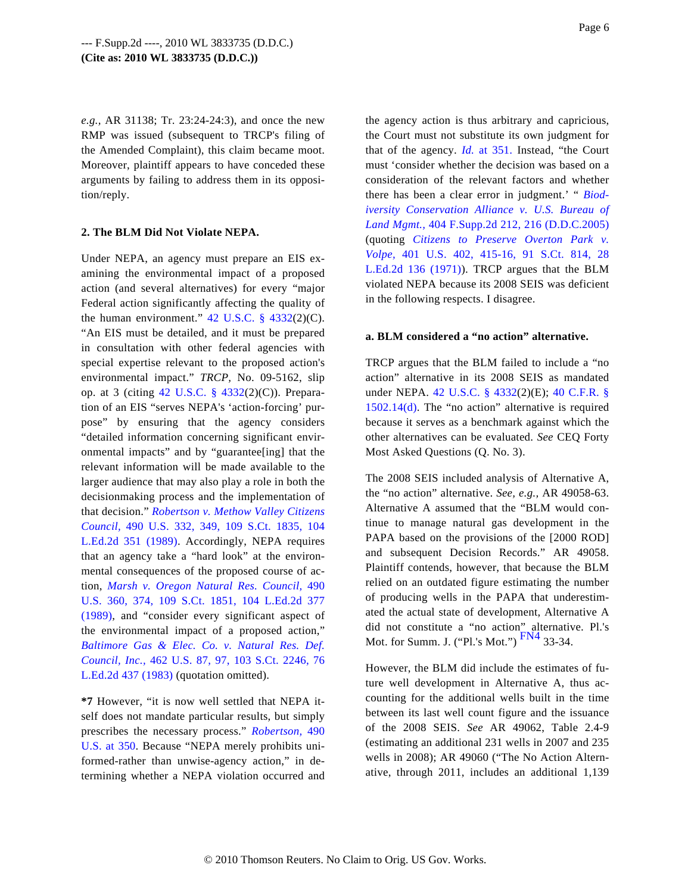*e.g.,* AR 31138; Tr. 23:24-24:3), and once the new RMP was issued (subsequent to TRCP's filing of the Amended Complaint), this claim became moot. Moreover, plaintiff appears to have conceded these arguments by failing to address them in its opposition/reply.

## **2. The BLM Did Not Violate NEPA.**

Under NEPA, an agency must prepare an EIS examining the environmental impact of a proposed action (and several alternatives) for every "major Federal action significantly affecting the quality of the human environment."  $42 \text{ U.S.C. }$  §  $4332(2)(\text{C}).$ "An EIS must be detailed, and it must be prepared in consultation with other federal agencies with special expertise relevant to the proposed action's environmental impact." *TRCP,* No. 09-5162, slip op. at 3 (citing [42 U.S.C. § 433](http://www.westlaw.com/Find/Default.wl?rs=dfa1.0&vr=2.0&DB=1000546&DocName=42USCAS4332&FindType=L)2(2)(C)). Preparation of an EIS "serves NEPA's 'action-forcing' purpose" by ensuring that the agency considers "detailed information concerning significant environmental impacts" and by "guarantee[ing] that the relevant information will be made available to the larger audience that may also play a role in both the decisionmaking process and the implementation of that decision." *[Robertson v. Methow Valley Citizens](http://www.westlaw.com/Find/Default.wl?rs=dfa1.0&vr=2.0&DB=708&FindType=Y&SerialNum=1989063359) [Council,](http://www.westlaw.com/Find/Default.wl?rs=dfa1.0&vr=2.0&DB=708&FindType=Y&SerialNum=1989063359)* [490 U.S. 332, 349, 109 S.Ct. 1835, 1](http://www.westlaw.com/Find/Default.wl?rs=dfa1.0&vr=2.0&DB=708&FindType=Y&SerialNum=1989063359)04 [L.Ed.2d 351 \(1989](http://www.westlaw.com/Find/Default.wl?rs=dfa1.0&vr=2.0&DB=708&FindType=Y&SerialNum=1989063359)). Accordingly, NEPA requires that an agency take a "hard look" at the environmental consequences of the proposed course of action, *[Marsh v. Oregon Natural Res. Council,](http://www.westlaw.com/Find/Default.wl?rs=dfa1.0&vr=2.0&DB=708&FindType=Y&SerialNum=1989063360)* 490 [U.S. 360, 374, 109 S.Ct. 1851, 104 L.Ed.2d](http://www.westlaw.com/Find/Default.wl?rs=dfa1.0&vr=2.0&DB=708&FindType=Y&SerialNum=1989063360) 377 [\(1989\),](http://www.westlaw.com/Find/Default.wl?rs=dfa1.0&vr=2.0&DB=708&FindType=Y&SerialNum=1989063360) and "consider every significant aspect of the environmental impact of a proposed action," *[Baltimore Gas & Elec. Co. v. Natural Res.](http://www.westlaw.com/Find/Default.wl?rs=dfa1.0&vr=2.0&DB=708&FindType=Y&SerialNum=1983126351) Def. [Council, Inc.](http://www.westlaw.com/Find/Default.wl?rs=dfa1.0&vr=2.0&DB=708&FindType=Y&SerialNum=1983126351),* [462 U.S. 87, 97, 103 S.Ct. 2246, 7](http://www.westlaw.com/Find/Default.wl?rs=dfa1.0&vr=2.0&DB=708&FindType=Y&SerialNum=1983126351)6 [L.Ed.2d 437 \(1983\)](http://www.westlaw.com/Find/Default.wl?rs=dfa1.0&vr=2.0&DB=708&FindType=Y&SerialNum=1983126351) (quotation omitted).

<span id="page-5-0"></span>**\*7** However, "it is now well settled that NEPA itself does not mandate particular results, but simply prescribes the necessary process." *[Robertson,](http://www.westlaw.com/Find/Default.wl?rs=dfa1.0&vr=2.0&DB=780&FindType=Y&ReferencePositionType=S&SerialNum=1989063359&ReferencePosition=350)* 490 [U.S. at 350](http://www.westlaw.com/Find/Default.wl?rs=dfa1.0&vr=2.0&DB=780&FindType=Y&ReferencePositionType=S&SerialNum=1989063359&ReferencePosition=350). Because "NEPA merely prohibits uniformed-rather than unwise-agency action," in determining whether a NEPA violation occurred and Page 6

the agency action is thus arbitrary and capricious, the Court must not substitute its own judgment for that of the agency. *[Id.](http://www.westlaw.com/Find/Default.wl?rs=dfa1.0&vr=2.0&FindType=Y&SerialNum=1989063359)* [at 351](http://www.westlaw.com/Find/Default.wl?rs=dfa1.0&vr=2.0&FindType=Y&SerialNum=1989063359). Instead, "the Court must 'consider whether the decision was based on a consideration of the relevant factors and whether there has been a clear error in judgment.' " *[Biod](http://www.westlaw.com/Find/Default.wl?rs=dfa1.0&vr=2.0&DB=4637&FindType=Y&ReferencePositionType=S&SerialNum=2007791632&ReferencePosition=216)[iversity Conservation Alliance v. U.S. Bureau](http://www.westlaw.com/Find/Default.wl?rs=dfa1.0&vr=2.0&DB=4637&FindType=Y&ReferencePositionType=S&SerialNum=2007791632&ReferencePosition=216) of [Land Mgmt.](http://www.westlaw.com/Find/Default.wl?rs=dfa1.0&vr=2.0&DB=4637&FindType=Y&ReferencePositionType=S&SerialNum=2007791632&ReferencePosition=216),* [404 F.Supp.2d 212, 216 \(D.D.C.2005](http://www.westlaw.com/Find/Default.wl?rs=dfa1.0&vr=2.0&DB=4637&FindType=Y&ReferencePositionType=S&SerialNum=2007791632&ReferencePosition=216)) (quoting *[Citizens to Preserve Overton Par](http://www.westlaw.com/Find/Default.wl?rs=dfa1.0&vr=2.0&DB=708&FindType=Y&SerialNum=1971127022)k v. [Volpe,](http://www.westlaw.com/Find/Default.wl?rs=dfa1.0&vr=2.0&DB=708&FindType=Y&SerialNum=1971127022)* [401 U.S. 402, 415-16, 91 S.Ct. 81](http://www.westlaw.com/Find/Default.wl?rs=dfa1.0&vr=2.0&DB=708&FindType=Y&SerialNum=1971127022)4, 28 [L.Ed.2d 136 \(1971](http://www.westlaw.com/Find/Default.wl?rs=dfa1.0&vr=2.0&DB=708&FindType=Y&SerialNum=1971127022))). TRCP argues that the BLM violated NEPA because its 2008 SEIS was deficient in the following respects. I disagree.

## **a. BLM considered a "no action" alternative.**

TRCP argues that the BLM failed to include a "no action" alternative in its 2008 SEIS as mandated under NEPA. [42 U.S.C. § 433](http://www.westlaw.com/Find/Default.wl?rs=dfa1.0&vr=2.0&DB=1000546&DocName=42USCAS4332&FindType=L)2(2)(E); [40 C.F.R. §](http://www.westlaw.com/Find/Default.wl?rs=dfa1.0&vr=2.0&DB=1000547&DocName=40CFRS1502.14&FindType=L&ReferencePositionType=T&ReferencePosition=SP_5ba1000067d06) [1502.14\(d\).](http://www.westlaw.com/Find/Default.wl?rs=dfa1.0&vr=2.0&DB=1000547&DocName=40CFRS1502.14&FindType=L&ReferencePositionType=T&ReferencePosition=SP_5ba1000067d06) The "no action" alternative is required because it serves as a benchmark against which the other alternatives can be evaluated. *See* CEQ Forty Most Asked Questions (Q. No. 3).

The 2008 SEIS included analysis of Alternative A, the "no action" alternative. *See, e.g.,* AR 49058-63. Alternative A assumed that the "BLM would continue to manage natural gas development in the PAPA based on the provisions of the [2000 ROD] and subsequent Decision Records." AR 49058. Plaintiff contends, however, that because the BLM relied on an outdated figure estimating the number of producing wells in the PAPA that underestimated the actual state of development, Alternative A did not constitute a "no action" alternative. Pl.'s Mot. for Summ. J. ("Pl.'s Mot.") [FN4](#page-10-2) 33-34.

However, the BLM did include the estimates of future well development in Alternative A, thus accounting for the additional wells built in the time between its last well count figure and the issuance of the 2008 SEIS. *See* AR 49062, Table 2.4-9 (estimating an additional 231 wells in 2007 and 235 wells in 2008); AR 49060 ("The No Action Alternative, through 2011, includes an additional 1,139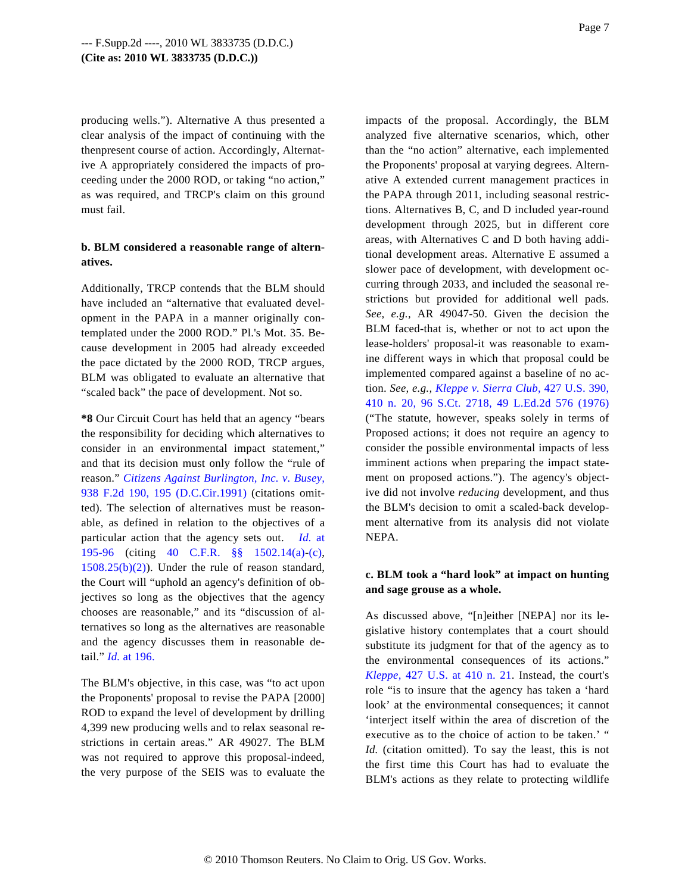producing wells."). Alternative A thus presented a clear analysis of the impact of continuing with the thenpresent course of action. Accordingly, Alternative A appropriately considered the impacts of proceeding under the 2000 ROD, or taking "no action," as was required, and TRCP's claim on this ground must fail.

# **b. BLM considered a reasonable range of alternatives.**

Additionally, TRCP contends that the BLM should have included an "alternative that evaluated development in the PAPA in a manner originally contemplated under the 2000 ROD." Pl.'s Mot. 35. Because development in 2005 had already exceeded the pace dictated by the 2000 ROD, TRCP argues, BLM was obligated to evaluate an alternative that "scaled back" the pace of development. Not so.

**\*8** Our Circuit Court has held that an agency "bears the responsibility for deciding which alternatives to consider in an environmental impact statement," and that its decision must only follow the "rule of reason." *[Citizens Against Burlington, Inc. v. Busey](http://www.westlaw.com/Find/Default.wl?rs=dfa1.0&vr=2.0&DB=350&FindType=Y&ReferencePositionType=S&SerialNum=1991108265&ReferencePosition=195),* [938 F.2d 190, 195 \(D.C.Cir.199](http://www.westlaw.com/Find/Default.wl?rs=dfa1.0&vr=2.0&DB=350&FindType=Y&ReferencePositionType=S&SerialNum=1991108265&ReferencePosition=195)1) (citations omitted). The selection of alternatives must be reasonable, as defined in relation to the objectives of a particular action that the agency sets out. *[Id.](http://www.westlaw.com/Find/Default.wl?rs=dfa1.0&vr=2.0&FindType=Y&SerialNum=1991108265)* at [195-96](http://www.westlaw.com/Find/Default.wl?rs=dfa1.0&vr=2.0&FindType=Y&SerialNum=1991108265) (citing [40 C.F.R. §§ 1502.](http://www.westlaw.com/Find/Default.wl?rs=dfa1.0&vr=2.0&DB=1000547&DocName=40CFRS1502.14&FindType=L&ReferencePositionType=T&ReferencePosition=SP_8b3b0000958a4)14(a[\)-\(c\),](http://www.westlaw.com/Find/Default.wl?rs=dfa1.0&vr=2.0&DB=1000547&DocName=40CFRS1502.14&FindType=L&ReferencePositionType=T&ReferencePosition=SP_4b24000003ba5)  $1508.25(b)(2)$ ). Under the rule of reason standard, the Court will "uphold an agency's definition of objectives so long as the objectives that the agency chooses are reasonable," and its "discussion of alternatives so long as the alternatives are reasonable and the agency discusses them in reasonable detail." *[Id.](http://www.westlaw.com/Find/Default.wl?rs=dfa1.0&vr=2.0&FindType=Y&SerialNum=1991108265)* [at 196.](http://www.westlaw.com/Find/Default.wl?rs=dfa1.0&vr=2.0&FindType=Y&SerialNum=1991108265)

The BLM's objective, in this case, was "to act upon the Proponents' proposal to revise the PAPA [2000] ROD to expand the level of development by drilling 4,399 new producing wells and to relax seasonal restrictions in certain areas." AR 49027. The BLM was not required to approve this proposal-indeed, the very purpose of the SEIS was to evaluate the impacts of the proposal. Accordingly, the BLM analyzed five alternative scenarios, which, other than the "no action" alternative, each implemented the Proponents' proposal at varying degrees. Alternative A extended current management practices in the PAPA through 2011, including seasonal restrictions. Alternatives B, C, and D included year-round development through 2025, but in different core areas, with Alternatives C and D both having additional development areas. Alternative E assumed a slower pace of development, with development occurring through 2033, and included the seasonal restrictions but provided for additional well pads. *See, e.g.,* AR 49047-50. Given the decision the BLM faced-that is, whether or not to act upon the lease-holders' proposal-it was reasonable to examine different ways in which that proposal could be implemented compared against a baseline of no action. *See, e.g., [Kleppe v. Sierra Club](http://www.westlaw.com/Find/Default.wl?rs=dfa1.0&vr=2.0&DB=708&FindType=Y&SerialNum=1976142436),* [427 U.S. 390,](http://www.westlaw.com/Find/Default.wl?rs=dfa1.0&vr=2.0&DB=708&FindType=Y&SerialNum=1976142436) [410 n. 20, 96 S.Ct. 2718, 49 L.Ed.2d 576 \(19](http://www.westlaw.com/Find/Default.wl?rs=dfa1.0&vr=2.0&DB=708&FindType=Y&SerialNum=1976142436)76) ("The statute, however, speaks solely in terms of Proposed actions; it does not require an agency to consider the possible environmental impacts of less imminent actions when preparing the impact statement on proposed actions."). The agency's objective did not involve *reducing* development, and thus the BLM's decision to omit a scaled-back development alternative from its analysis did not violate NEPA.

# **c. BLM took a "hard look" at impact on hunting and sage grouse as a whole.**

As discussed above, "[n]either [NEPA] nor its legislative history contemplates that a court should substitute its judgment for that of the agency as to the environmental consequences of its actions." *[Kleppe,](http://www.westlaw.com/Find/Default.wl?rs=dfa1.0&vr=2.0&DB=780&FindType=Y&ReferencePositionType=S&SerialNum=1976142436&ReferencePosition=410)* [427 U.S. at 410 n. 2](http://www.westlaw.com/Find/Default.wl?rs=dfa1.0&vr=2.0&DB=780&FindType=Y&ReferencePositionType=S&SerialNum=1976142436&ReferencePosition=410)1. Instead, the court's role "is to insure that the agency has taken a 'hard look' at the environmental consequences; it cannot 'interject itself within the area of discretion of the executive as to the choice of action to be taken.' " *Id.* (citation omitted). To say the least, this is not the first time this Court has had to evaluate the BLM's actions as they relate to protecting wildlife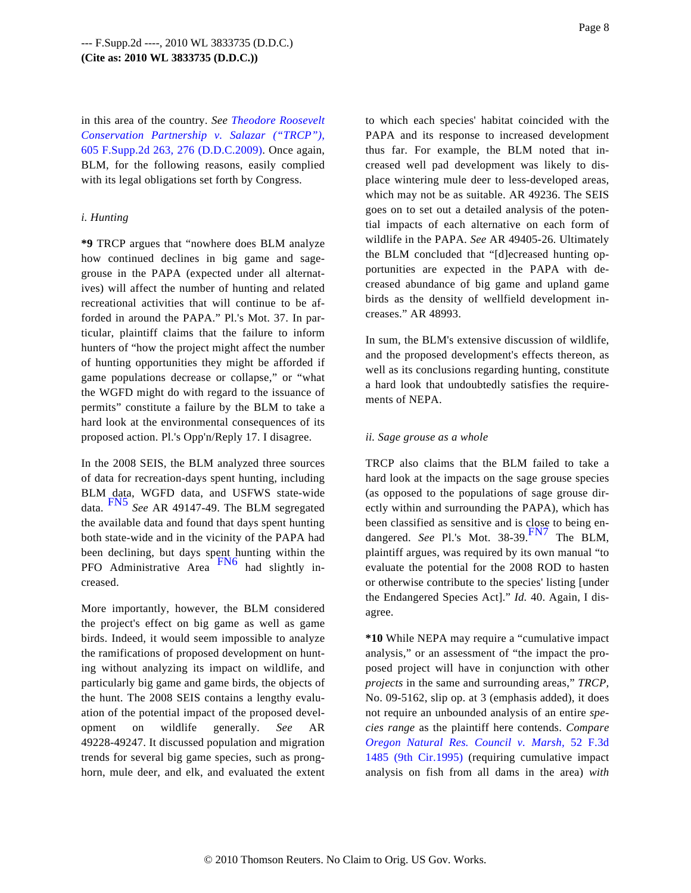in this area of the country. *See [Theodore Roosevelt](http://www.westlaw.com/Find/Default.wl?rs=dfa1.0&vr=2.0&DB=4637&FindType=Y&ReferencePositionType=S&SerialNum=2018517112&ReferencePosition=276) [Conservation Partnership v. Salazar \("TRCP"\)](http://www.westlaw.com/Find/Default.wl?rs=dfa1.0&vr=2.0&DB=4637&FindType=Y&ReferencePositionType=S&SerialNum=2018517112&ReferencePosition=276),* [605 F.Supp.2d 263, 276 \(D.D.C.2009](http://www.westlaw.com/Find/Default.wl?rs=dfa1.0&vr=2.0&DB=4637&FindType=Y&ReferencePositionType=S&SerialNum=2018517112&ReferencePosition=276)). Once again, BLM, for the following reasons, easily complied with its legal obligations set forth by Congress.

### *i. Hunting*

**\*9** TRCP argues that "nowhere does BLM analyze how continued declines in big game and sagegrouse in the PAPA (expected under all alternatives) will affect the number of hunting and related recreational activities that will continue to be afforded in around the PAPA." Pl.'s Mot. 37. In particular, plaintiff claims that the failure to inform hunters of "how the project might affect the number of hunting opportunities they might be afforded if game populations decrease or collapse," or "what the WGFD might do with regard to the issuance of permits" constitute a failure by the BLM to take a hard look at the environmental consequences of its proposed action. Pl.'s Opp'n/Reply 17. I disagree.

<span id="page-7-2"></span><span id="page-7-0"></span>In the 2008 SEIS, the BLM analyzed three sources of data for recreation-days spent hunting, including BLM data, WGFD data, and USFWS state-wide data. [FN5](#page-10-3) *See* AR 49147-49. The BLM segregated the available data and found that days spent hunting both state-wide and in the vicinity of the PAPA had been declining, but days spent hunting within the PFO Administrative Area [FN6](#page-10-4) had slightly increased.

<span id="page-7-1"></span>More importantly, however, the BLM considered the project's effect on big game as well as game birds. Indeed, it would seem impossible to analyze the ramifications of proposed development on hunting without analyzing its impact on wildlife, and particularly big game and game birds, the objects of the hunt. The 2008 SEIS contains a lengthy evaluation of the potential impact of the proposed development on wildlife generally. *See* AR 49228-49247. It discussed population and migration trends for several big game species, such as pronghorn, mule deer, and elk, and evaluated the extent to which each species' habitat coincided with the PAPA and its response to increased development thus far. For example, the BLM noted that increased well pad development was likely to displace wintering mule deer to less-developed areas, which may not be as suitable. AR 49236. The SEIS goes on to set out a detailed analysis of the potential impacts of each alternative on each form of wildlife in the PAPA. *See* AR 49405-26. Ultimately the BLM concluded that "[d]ecreased hunting opportunities are expected in the PAPA with decreased abundance of big game and upland game birds as the density of wellfield development increases." AR 48993.

In sum, the BLM's extensive discussion of wildlife, and the proposed development's effects thereon, as well as its conclusions regarding hunting, constitute a hard look that undoubtedly satisfies the requirements of NEPA.

### *ii. Sage grouse as a whole*

TRCP also claims that the BLM failed to take a hard look at the impacts on the sage grouse species (as opposed to the populations of sage grouse directly within and surrounding the PAPA), which has been classified as sensitive and is close to being endangered. *See* Pl.'s Mot. [38-39.](#page-10-5)<sup>FN/</sup> The BLM. plaintiff argues, was required by its own manual "to evaluate the potential for the 2008 ROD to hasten or otherwise contribute to the species' listing [under the Endangered Species Act]." *Id.* 40. Again, I disagree.

**\*10** While NEPA may require a "cumulative impact analysis," or an assessment of "the impact the proposed project will have in conjunction with other *projects* in the same and surrounding areas," *TRCP,* No. 09-5162, slip op. at 3 (emphasis added), it does not require an unbounded analysis of an entire *species range* as the plaintiff here contends. *Compare [Oregon Natural Res. Council v. Marsh,](http://www.westlaw.com/Find/Default.wl?rs=dfa1.0&vr=2.0&DB=506&FindType=Y&SerialNum=1995094294)* 52 F.3d [1485 \(9th Cir.1995](http://www.westlaw.com/Find/Default.wl?rs=dfa1.0&vr=2.0&DB=506&FindType=Y&SerialNum=1995094294)) (requiring cumulative impact analysis on fish from all dams in the area) *with*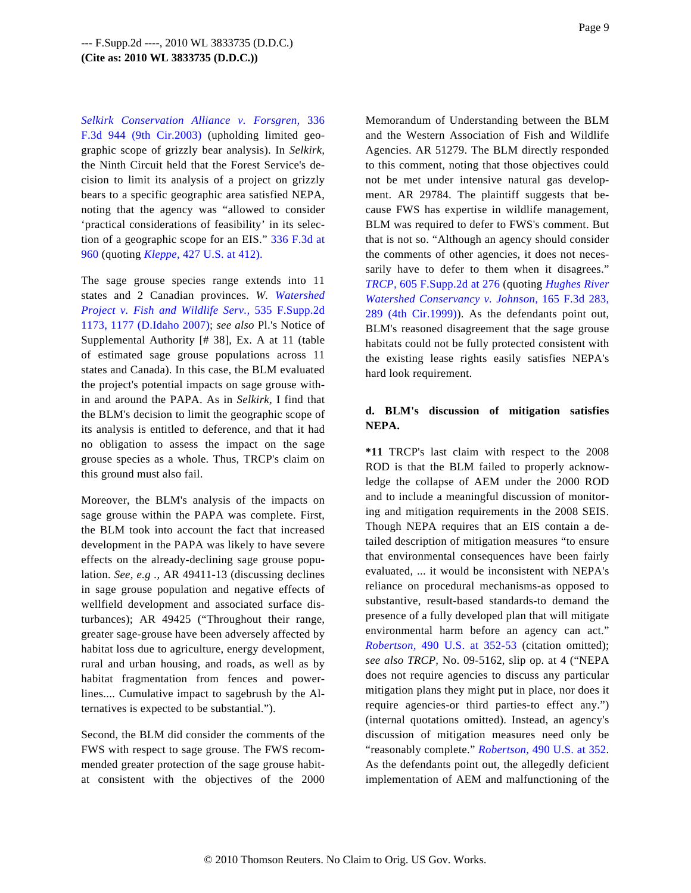*[Selkirk Conservation Alliance v. Forsgren,](http://www.westlaw.com/Find/Default.wl?rs=dfa1.0&vr=2.0&DB=506&FindType=Y&SerialNum=2003498187)* 336 [F.3d 944 \(9th Cir.200](http://www.westlaw.com/Find/Default.wl?rs=dfa1.0&vr=2.0&DB=506&FindType=Y&SerialNum=2003498187)3) (upholding limited geographic scope of grizzly bear analysis). In *Selkirk,* the Ninth Circuit held that the Forest Service's decision to limit its analysis of a project on grizzly bears to a specific geographic area satisfied NEPA, noting that the agency was "allowed to consider 'practical considerations of feasibility' in its selection of a geographic scope for an EIS." [336 F.3d at](http://www.westlaw.com/Find/Default.wl?rs=dfa1.0&vr=2.0&DB=506&FindType=Y&ReferencePositionType=S&SerialNum=2003498187&ReferencePosition=960) [960](http://www.westlaw.com/Find/Default.wl?rs=dfa1.0&vr=2.0&DB=506&FindType=Y&ReferencePositionType=S&SerialNum=2003498187&ReferencePosition=960) (quoting *[Kleppe,](http://www.westlaw.com/Find/Default.wl?rs=dfa1.0&vr=2.0&DB=780&FindType=Y&ReferencePositionType=S&SerialNum=1976142436&ReferencePosition=412)* [427 U.S. at 412\)](http://www.westlaw.com/Find/Default.wl?rs=dfa1.0&vr=2.0&DB=780&FindType=Y&ReferencePositionType=S&SerialNum=1976142436&ReferencePosition=412).

The sage grouse species range extends into 11 states and 2 Canadian provinces. *W. [Watershed](http://www.westlaw.com/Find/Default.wl?rs=dfa1.0&vr=2.0&DB=4637&FindType=Y&ReferencePositionType=S&SerialNum=2014308794&ReferencePosition=1177) [Project v. Fish and Wildlife Ser](http://www.westlaw.com/Find/Default.wl?rs=dfa1.0&vr=2.0&DB=4637&FindType=Y&ReferencePositionType=S&SerialNum=2014308794&ReferencePosition=1177)v.,* [535 F.Supp.2d](http://www.westlaw.com/Find/Default.wl?rs=dfa1.0&vr=2.0&DB=4637&FindType=Y&ReferencePositionType=S&SerialNum=2014308794&ReferencePosition=1177) [1173, 1177 \(D.Idaho 2007](http://www.westlaw.com/Find/Default.wl?rs=dfa1.0&vr=2.0&DB=4637&FindType=Y&ReferencePositionType=S&SerialNum=2014308794&ReferencePosition=1177)); *see also* Pl.'s Notice of Supplemental Authority [# 38], Ex. A at 11 (table of estimated sage grouse populations across 11 states and Canada). In this case, the BLM evaluated the project's potential impacts on sage grouse within and around the PAPA. As in *Selkirk,* I find that the BLM's decision to limit the geographic scope of its analysis is entitled to deference, and that it had no obligation to assess the impact on the sage grouse species as a whole. Thus, TRCP's claim on this ground must also fail.

Moreover, the BLM's analysis of the impacts on sage grouse within the PAPA was complete. First, the BLM took into account the fact that increased development in the PAPA was likely to have severe effects on the already-declining sage grouse population. *See, e.g .,* AR 49411-13 (discussing declines in sage grouse population and negative effects of wellfield development and associated surface disturbances); AR 49425 ("Throughout their range, greater sage-grouse have been adversely affected by habitat loss due to agriculture, energy development, rural and urban housing, and roads, as well as by habitat fragmentation from fences and powerlines.... Cumulative impact to sagebrush by the Alternatives is expected to be substantial.").

Second, the BLM did consider the comments of the FWS with respect to sage grouse. The FWS recommended greater protection of the sage grouse habitat consistent with the objectives of the 2000 Memorandum of Understanding between the BLM and the Western Association of Fish and Wildlife Agencies. AR 51279. The BLM directly responded to this comment, noting that those objectives could not be met under intensive natural gas development. AR 29784. The plaintiff suggests that because FWS has expertise in wildlife management, BLM was required to defer to FWS's comment. But that is not so. "Although an agency should consider the comments of other agencies, it does not necessarily have to defer to them when it disagrees." *[TRCP,](http://www.westlaw.com/Find/Default.wl?rs=dfa1.0&vr=2.0&DB=4637&FindType=Y&ReferencePositionType=S&SerialNum=2018517112&ReferencePosition=276)* [605 F.Supp.2d at 276](http://www.westlaw.com/Find/Default.wl?rs=dfa1.0&vr=2.0&DB=4637&FindType=Y&ReferencePositionType=S&SerialNum=2018517112&ReferencePosition=276) (quoting *[Hughes River](http://www.westlaw.com/Find/Default.wl?rs=dfa1.0&vr=2.0&DB=506&FindType=Y&ReferencePositionType=S&SerialNum=1999030903&ReferencePosition=289) [Watershed Conservancy v. Johnson](http://www.westlaw.com/Find/Default.wl?rs=dfa1.0&vr=2.0&DB=506&FindType=Y&ReferencePositionType=S&SerialNum=1999030903&ReferencePosition=289),* [165 F.3d 283](http://www.westlaw.com/Find/Default.wl?rs=dfa1.0&vr=2.0&DB=506&FindType=Y&ReferencePositionType=S&SerialNum=1999030903&ReferencePosition=289), [289 \(4th Cir.1999](http://www.westlaw.com/Find/Default.wl?rs=dfa1.0&vr=2.0&DB=506&FindType=Y&ReferencePositionType=S&SerialNum=1999030903&ReferencePosition=289))). As the defendants point out, BLM's reasoned disagreement that the sage grouse habitats could not be fully protected consistent with the existing lease rights easily satisfies NEPA's hard look requirement.

# **d. BLM's discussion of mitigation satisfies NEPA.**

**\*11** TRCP's last claim with respect to the 2008 ROD is that the BLM failed to properly acknowledge the collapse of AEM under the 2000 ROD and to include a meaningful discussion of monitoring and mitigation requirements in the 2008 SEIS. Though NEPA requires that an EIS contain a detailed description of mitigation measures "to ensure that environmental consequences have been fairly evaluated, ... it would be inconsistent with NEPA's reliance on procedural mechanisms-as opposed to substantive, result-based standards-to demand the presence of a fully developed plan that will mitigate environmental harm before an agency can act." *[Robertson,](http://www.westlaw.com/Find/Default.wl?rs=dfa1.0&vr=2.0&DB=780&FindType=Y&ReferencePositionType=S&SerialNum=1989063359&ReferencePosition=352)* [490 U.S. at 352-](http://www.westlaw.com/Find/Default.wl?rs=dfa1.0&vr=2.0&DB=780&FindType=Y&ReferencePositionType=S&SerialNum=1989063359&ReferencePosition=352)53 (citation omitted); *see also TRCP,* No. 09-5162, slip op. at 4 ("NEPA does not require agencies to discuss any particular mitigation plans they might put in place, nor does it require agencies-or third parties-to effect any.") (internal quotations omitted). Instead, an agency's discussion of mitigation measures need only be "reasonably complete." *[Robertson](http://www.westlaw.com/Find/Default.wl?rs=dfa1.0&vr=2.0&DB=780&FindType=Y&ReferencePositionType=S&SerialNum=1989063359&ReferencePosition=352),* [490 U.S. at 352](http://www.westlaw.com/Find/Default.wl?rs=dfa1.0&vr=2.0&DB=780&FindType=Y&ReferencePositionType=S&SerialNum=1989063359&ReferencePosition=352). As the defendants point out, the allegedly deficient implementation of AEM and malfunctioning of the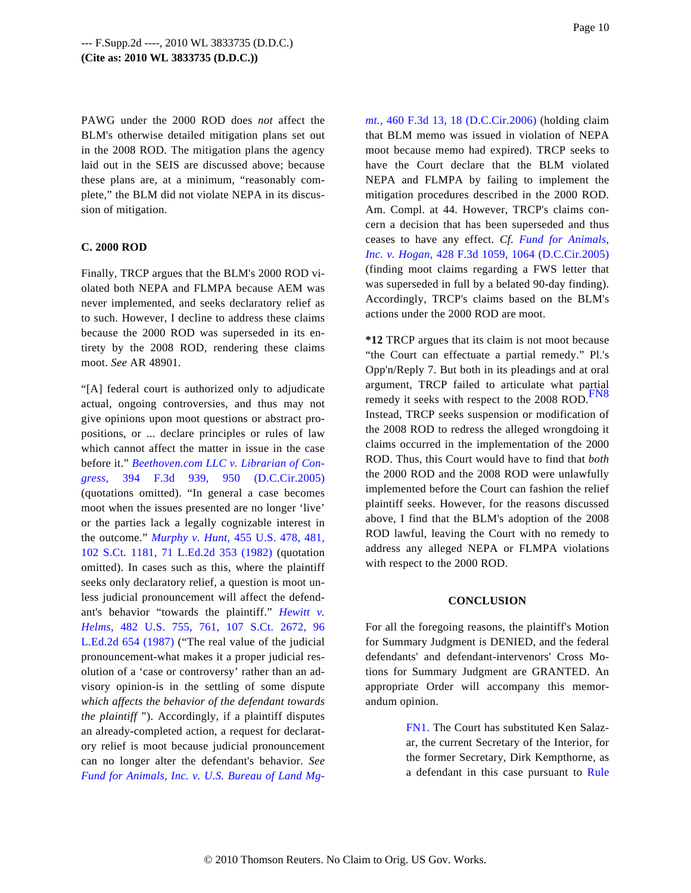PAWG under the 2000 ROD does *not* affect the BLM's otherwise detailed mitigation plans set out in the 2008 ROD. The mitigation plans the agency laid out in the SEIS are discussed above; because these plans are, at a minimum, "reasonably complete," the BLM did not violate NEPA in its discussion of mitigation.

## **C. 2000 ROD**

Finally, TRCP argues that the BLM's 2000 ROD violated both NEPA and FLMPA because AEM was never implemented, and seeks declaratory relief as to such. However, I decline to address these claims because the 2000 ROD was superseded in its entirety by the 2008 ROD, rendering these claims moot. *See* AR 48901.

<span id="page-9-1"></span>"[A] federal court is authorized only to adjudicate actual, ongoing controversies, and thus may not give opinions upon moot questions or abstract propositions, or ... declare principles or rules of law which cannot affect the matter in issue in the case before it." *[Beethoven.com LLC v. Librarian of Con](http://www.westlaw.com/Find/Default.wl?rs=dfa1.0&vr=2.0&DB=506&FindType=Y&ReferencePositionType=S&SerialNum=2005978799&ReferencePosition=950)[gress,](http://www.westlaw.com/Find/Default.wl?rs=dfa1.0&vr=2.0&DB=506&FindType=Y&ReferencePositionType=S&SerialNum=2005978799&ReferencePosition=950)* [394 F.3d 939, 950 \(D.](http://www.westlaw.com/Find/Default.wl?rs=dfa1.0&vr=2.0&DB=506&FindType=Y&ReferencePositionType=S&SerialNum=2005978799&ReferencePosition=950)C.Cir.2005) (quotations omitted). "In general a case becomes moot when the issues presented are no longer 'live' or the parties lack a legally cognizable interest in the outcome." *[Murphy v. Hunt](http://www.westlaw.com/Find/Default.wl?rs=dfa1.0&vr=2.0&DB=708&FindType=Y&SerialNum=1982109532),* [455 U.S. 478, 481](http://www.westlaw.com/Find/Default.wl?rs=dfa1.0&vr=2.0&DB=708&FindType=Y&SerialNum=1982109532), [102 S.Ct. 1181, 71 L.Ed.2d 353 \(198](http://www.westlaw.com/Find/Default.wl?rs=dfa1.0&vr=2.0&DB=708&FindType=Y&SerialNum=1982109532)2) (quotation omitted). In cases such as this, where the plaintiff seeks only declaratory relief, a question is moot unless judicial pronouncement will affect the defendant's behavior "towards the plaintiff." *[Hewitt v](http://www.westlaw.com/Find/Default.wl?rs=dfa1.0&vr=2.0&DB=708&FindType=Y&SerialNum=1987076785). [Helms,](http://www.westlaw.com/Find/Default.wl?rs=dfa1.0&vr=2.0&DB=708&FindType=Y&SerialNum=1987076785)* [482 U.S. 755, 761, 107 S.Ct. 267](http://www.westlaw.com/Find/Default.wl?rs=dfa1.0&vr=2.0&DB=708&FindType=Y&SerialNum=1987076785)2, 96 [L.Ed.2d 654 \(1987](http://www.westlaw.com/Find/Default.wl?rs=dfa1.0&vr=2.0&DB=708&FindType=Y&SerialNum=1987076785)) ("The real value of the judicial pronouncement-what makes it a proper judicial resolution of a 'case or controversy' rather than an advisory opinion-is in the settling of some dispute *which affects the behavior of the defendant towards the plaintiff* "). Accordingly, if a plaintiff disputes an already-completed action, a request for declaratory relief is moot because judicial pronouncement can no longer alter the defendant's behavior. *See Fund for Animals, Inc. v. U.S. Bureau of Land Mg-* *[mt.,](http://www.westlaw.com/Find/Default.wl?rs=dfa1.0&vr=2.0&DB=506&FindType=Y&ReferencePositionType=S&SerialNum=2009750545&ReferencePosition=18)* [460 F.3d 13, 18 \(D.C.Cir.2006](http://www.westlaw.com/Find/Default.wl?rs=dfa1.0&vr=2.0&DB=506&FindType=Y&ReferencePositionType=S&SerialNum=2009750545&ReferencePosition=18)) (holding claim that BLM memo was issued in violation of NEPA moot because memo had expired). TRCP seeks to have the Court declare that the BLM violated NEPA and FLMPA by failing to implement the mitigation procedures described in the 2000 ROD. Am. Compl. at 44. However, TRCP's claims concern a decision that has been superseded and thus ceases to have any effect. *Cf. [Fund for Animals](http://www.westlaw.com/Find/Default.wl?rs=dfa1.0&vr=2.0&DB=506&FindType=Y&ReferencePositionType=S&SerialNum=2007628738&ReferencePosition=1064), [Inc. v. Hogan](http://www.westlaw.com/Find/Default.wl?rs=dfa1.0&vr=2.0&DB=506&FindType=Y&ReferencePositionType=S&SerialNum=2007628738&ReferencePosition=1064),* [428 F.3d 1059, 1064 \(D.C.Cir.2005](http://www.westlaw.com/Find/Default.wl?rs=dfa1.0&vr=2.0&DB=506&FindType=Y&ReferencePositionType=S&SerialNum=2007628738&ReferencePosition=1064)) (finding moot claims regarding a FWS letter that was superseded in full by a belated 90-day finding). Accordingly, TRCP's claims based on the BLM's actions under the 2000 ROD are moot.

**\*12** TRCP argues that its claim is not moot because "the Court can effectuate a partial remedy." Pl.'s Opp'n/Reply 7. But both in its pleadings and at oral argument, TRCP failed to articulate what partial remedy it seeks with respect to the 2008 [ROD.](#page-10-6)<sup>FN8</sup> Instead, TRCP seeks suspension or modification of the 2008 ROD to redress the alleged wrongdoing it claims occurred in the implementation of the 2000 ROD. Thus, this Court would have to find that *both* the 2000 ROD and the 2008 ROD were unlawfully implemented before the Court can fashion the relief plaintiff seeks. However, for the reasons discussed above, I find that the BLM's adoption of the 2008 ROD lawful, leaving the Court with no remedy to address any alleged NEPA or FLMPA violations with respect to the 2000 ROD.

#### **CONCLUSION**

<span id="page-9-0"></span>For all the foregoing reasons, the plaintiff's Motion for Summary Judgment is DENIED, and the federal defendants' and defendant-intervenors' Cross Motions for Summary Judgment are GRANTED. An appropriate Order will accompany this memorandum opinion.

> [FN1.](#page-0-0) The Court has substituted Ken Salazar, the current Secretary of the Interior, for the former Secretary, Dirk Kempthorne, as a defendant in this case pursuant to Rule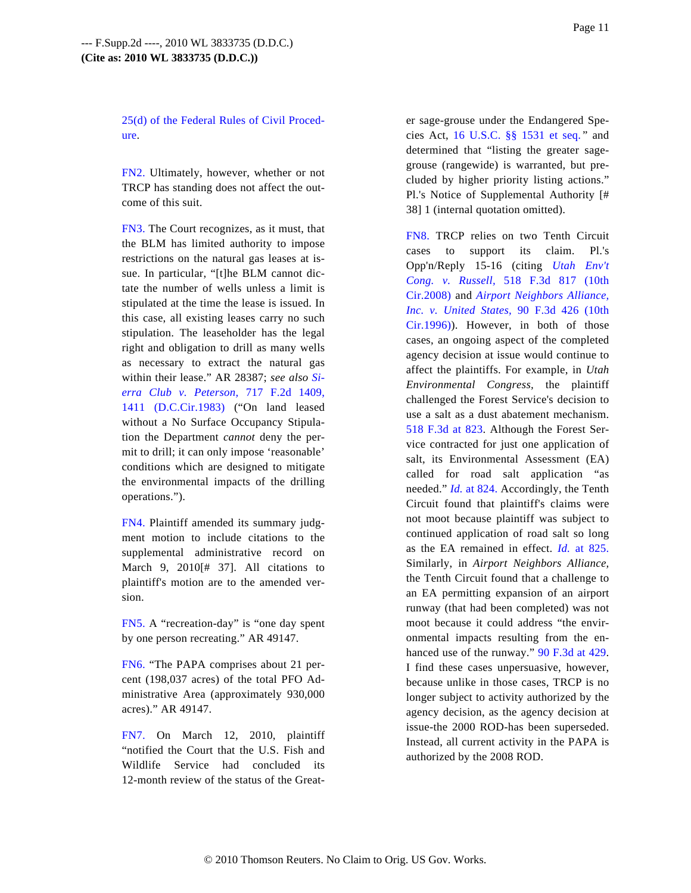[25\(d\) of the Federal Rules of Civil Proced](http://www.westlaw.com/Find/Default.wl?rs=dfa1.0&vr=2.0&DB=1004365&DocName=USFRCPR25&FindType=L)[ure](http://www.westlaw.com/Find/Default.wl?rs=dfa1.0&vr=2.0&DB=1004365&DocName=USFRCPR25&FindType=L).

<span id="page-10-0"></span>[FN2.](#page-2-0) Ultimately, however, whether or not TRCP has standing does not affect the outcome of this suit.

<span id="page-10-6"></span><span id="page-10-1"></span>[FN3.](#page-3-0) The Court recognizes, as it must, that the BLM has limited authority to impose restrictions on the natural gas leases at issue. In particular, "[t]he BLM cannot dictate the number of wells unless a limit is stipulated at the time the lease is issued. In this case, all existing leases carry no such stipulation. The leaseholder has the legal right and obligation to drill as many wells as necessary to extract the natural gas within their lease." AR 28387; *see also [Si](http://www.westlaw.com/Find/Default.wl?rs=dfa1.0&vr=2.0&DB=350&FindType=Y&ReferencePositionType=S&SerialNum=1983144959&ReferencePosition=1411)[erra Club v. Peters](http://www.westlaw.com/Find/Default.wl?rs=dfa1.0&vr=2.0&DB=350&FindType=Y&ReferencePositionType=S&SerialNum=1983144959&ReferencePosition=1411)on,* [717 F.2d 140](http://www.westlaw.com/Find/Default.wl?rs=dfa1.0&vr=2.0&DB=350&FindType=Y&ReferencePositionType=S&SerialNum=1983144959&ReferencePosition=1411)9, [1411 \(D.C.Cir.1983](http://www.westlaw.com/Find/Default.wl?rs=dfa1.0&vr=2.0&DB=350&FindType=Y&ReferencePositionType=S&SerialNum=1983144959&ReferencePosition=1411)) ("On land leased without a No Surface Occupancy Stipulation the Department *cannot* deny the permit to drill; it can only impose 'reasonable' conditions which are designed to mitigate the environmental impacts of the drilling operations.").

<span id="page-10-2"></span>[FN4.](#page-5-0) Plaintiff amended its summary judgment motion to include citations to the supplemental administrative record on March 9, 2010[# 37]. All citations to plaintiff's motion are to the amended version.

<span id="page-10-3"></span>[FN5.](#page-7-0) A "recreation-day" is "one day spent by one person recreating." AR 49147.

<span id="page-10-4"></span>[FN6.](#page-7-1) "The PAPA comprises about 21 percent (198,037 acres) of the total PFO Administrative Area (approximately 930,000 acres)." AR 49147.

<span id="page-10-5"></span>[FN7.](#page-7-2) On March 12, 2010, plaintiff "notified the Court that the U.S. Fish and Wildlife Service had concluded its 12-month review of the status of the Greater sage-grouse under the Endangered Species Act, [16 U.S.C. §§ 1531 et se](http://www.westlaw.com/Find/Default.wl?rs=dfa1.0&vr=2.0&DB=1000546&DocName=16USCAS1531&FindType=L)q. " and determined that "listing the greater sagegrouse (rangewide) is warranted, but precluded by higher priority listing actions." Pl.'s Notice of Supplemental Authority [# 38] 1 (internal quotation omitted).

[FN8.](#page-9-1) TRCP relies on two Tenth Circuit cases to support its claim. Pl.'s Opp'n/Reply 15-16 (citing *[Utah Env](http://www.westlaw.com/Find/Default.wl?rs=dfa1.0&vr=2.0&DB=506&FindType=Y&SerialNum=2015456670)'t [Cong. v. Russe](http://www.westlaw.com/Find/Default.wl?rs=dfa1.0&vr=2.0&DB=506&FindType=Y&SerialNum=2015456670)ll,* [518 F.3d 817 \(](http://www.westlaw.com/Find/Default.wl?rs=dfa1.0&vr=2.0&DB=506&FindType=Y&SerialNum=2015456670)10th [Cir.2008\)](http://www.westlaw.com/Find/Default.wl?rs=dfa1.0&vr=2.0&DB=506&FindType=Y&SerialNum=2015456670) and *[Airport Neighbors Alliance,](http://www.westlaw.com/Find/Default.wl?rs=dfa1.0&vr=2.0&DB=506&FindType=Y&SerialNum=1996167270) [Inc. v. United State](http://www.westlaw.com/Find/Default.wl?rs=dfa1.0&vr=2.0&DB=506&FindType=Y&SerialNum=1996167270)s,* [90 F.3d 426 \(10](http://www.westlaw.com/Find/Default.wl?rs=dfa1.0&vr=2.0&DB=506&FindType=Y&SerialNum=1996167270)th [Cir.1996\)\)](http://www.westlaw.com/Find/Default.wl?rs=dfa1.0&vr=2.0&DB=506&FindType=Y&SerialNum=1996167270). However, in both of those cases, an ongoing aspect of the completed agency decision at issue would continue to affect the plaintiffs. For example, in *Utah Environmental Congress,* the plaintiff challenged the Forest Service's decision to use a salt as a dust abatement mechanism. [518 F.3d at 82](http://www.westlaw.com/Find/Default.wl?rs=dfa1.0&vr=2.0&DB=506&FindType=Y&ReferencePositionType=S&SerialNum=2015456670&ReferencePosition=823)3. Although the Forest Service contracted for just one application of salt, its Environmental Assessment (EA) called for road salt application "as needed." *[Id.](http://www.westlaw.com/Find/Default.wl?rs=dfa1.0&vr=2.0&FindType=Y&SerialNum=2015456670)* [at 824.](http://www.westlaw.com/Find/Default.wl?rs=dfa1.0&vr=2.0&FindType=Y&SerialNum=2015456670) Accordingly, the Tenth Circuit found that plaintiff's claims were not moot because plaintiff was subject to continued application of road salt so long as the EA remained in effect. *[Id.](http://www.westlaw.com/Find/Default.wl?rs=dfa1.0&vr=2.0&FindType=Y&SerialNum=2015456670)* [at 825](http://www.westlaw.com/Find/Default.wl?rs=dfa1.0&vr=2.0&FindType=Y&SerialNum=2015456670). Similarly, in *Airport Neighbors Alliance,* the Tenth Circuit found that a challenge to an EA permitting expansion of an airport runway (that had been completed) was not moot because it could address "the environmental impacts resulting from the en-hanced use of the runway." [90 F.3d at 429](http://www.westlaw.com/Find/Default.wl?rs=dfa1.0&vr=2.0&DB=506&FindType=Y&ReferencePositionType=S&SerialNum=1996167270&ReferencePosition=429). I find these cases unpersuasive, however, because unlike in those cases, TRCP is no longer subject to activity authorized by the agency decision, as the agency decision at issue-the 2000 ROD-has been superseded. Instead, all current activity in the PAPA is authorized by the 2008 ROD.